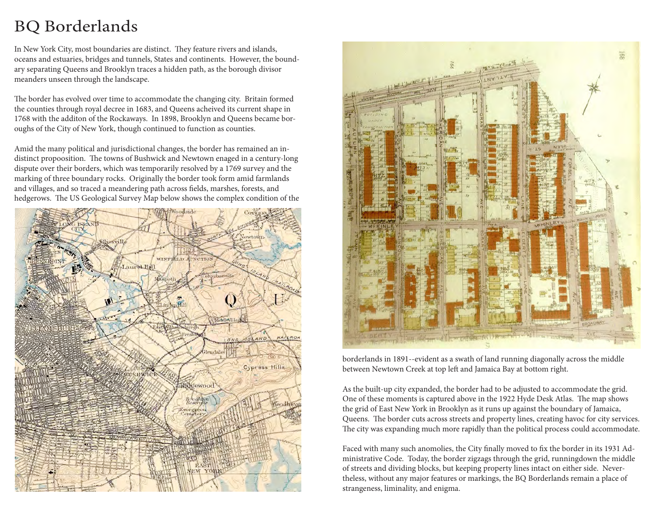# BQ Borderlands

In New York City, most boundaries are distinct. They feature rivers and islands, oceans and estuaries, bridges and tunnels, States and continents. However, the boundary separating Queens and Brooklyn traces a hidden path, as the borough divisor meanders unseen through the landscape.

The border has evolved over time to accommodate the changing city. Britain formed the counties through royal decree in 1683, and Queens acheived its current shape in 1768 with the additon of the Rockaways. In 1898, Brooklyn and Queens became boroughs of the City of New York, though continued to function as counties.

Amid the many political and jurisdictional changes, the border has remained an indistinct propoosition. The towns of Bushwick and Newtown enaged in a century-long dispute over their borders, which was temporarily resolved by a 1769 survey and the marking of three boundary rocks. Originally the border took form amid farmlands and villages, and so traced a meandering path across fields, marshes, forests, and hedgerows. The US Geological Survey Map below shows the complex condition of the





borderlands in 1891--evident as a swath of land running diagonally across the middle between Newtown Creek at top left and Jamaica Bay at bottom right.

As the built-up city expanded, the border had to be adjusted to accommodate the grid. One of these moments is captured above in the 1922 Hyde Desk Atlas. The map shows the grid of East New York in Brooklyn as it runs up against the boundary of Jamaica, Queens. The border cuts across streets and property lines, creating havoc for city services. The city was expanding much more rapidly than the political process could accommodate.

Faced with many such anomolies, the City finally moved to fix the border in its 1931 Administrative Code. Today, the border zigzags through the grid, runningdown the middle of streets and dividing blocks, but keeping property lines intact on either side. Nevertheless, without any major features or markings, the BQ Borderlands remain a place of strangeness, liminality, and enigma.